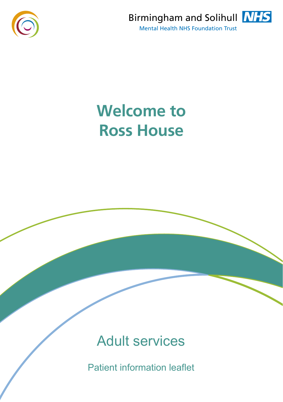



# **Welcome to Ross House**

Adult services

Patient information leaflet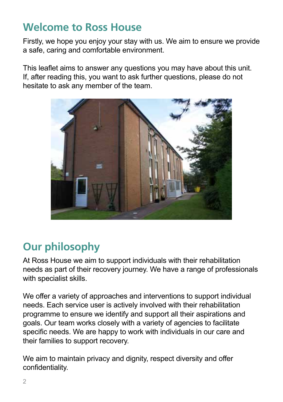## **Welcome to Ross House**

Firstly, we hope you enjoy your stay with us. We aim to ensure we provide a safe, caring and comfortable environment.

This leaflet aims to answer any questions you may have about this unit. If, after reading this, you want to ask further questions, please do not hesitate to ask any member of the team.



# **Our philosophy**

At Ross House we aim to support individuals with their rehabilitation needs as part of their recovery journey. We have a range of professionals with specialist skills.

We offer a variety of approaches and interventions to support individual needs. Each service user is actively involved with their rehabilitation programme to ensure we identify and support all their aspirations and goals. Our team works closely with a variety of agencies to facilitate specific needs. We are happy to work with individuals in our care and their families to support recovery.

We aim to maintain privacy and dignity, respect diversity and offer confidentiality.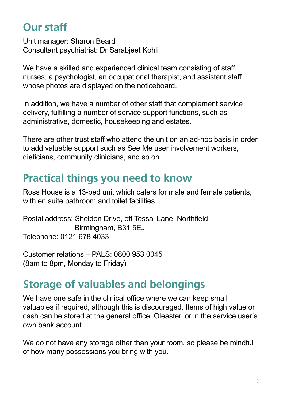## **Our staff**

Unit manager: Sharon Beard Consultant psychiatrist: Dr Sarabjeet Kohli

We have a skilled and experienced clinical team consisting of staff nurses, a psychologist, an occupational therapist, and assistant staff whose photos are displayed on the noticeboard.

In addition, we have a number of other staff that complement service delivery, fulfilling a number of service support functions, such as administrative, domestic, housekeeping and estates.

There are other trust staff who attend the unit on an ad-hoc basis in order to add valuable support such as See Me user involvement workers, dieticians, community clinicians, and so on.

## **Practical things you need to know**

Ross House is a 13-bed unit which caters for male and female patients, with en suite bathroom and toilet facilities.

Postal address: Sheldon Drive, off Tessal Lane, Northfield, Birmingham, B31 5EJ. Telephone: 0121 678 4033

Customer relations – PALS: 0800 953 0045 (8am to 8pm, Monday to Friday)

## **Storage of valuables and belongings**

We have one safe in the clinical office where we can keep small valuables if required, although this is discouraged. Items of high value or cash can be stored at the general office, Oleaster, or in the service user's own bank account.

We do not have any storage other than your room, so please be mindful of how many possessions you bring with you.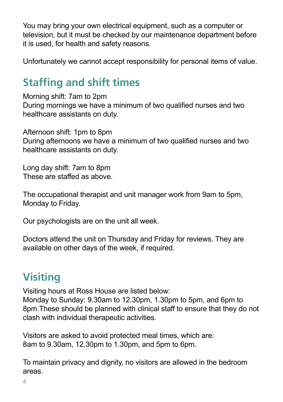You may bring your own electrical equipment, such as a computer or television, but it must be checked by our maintenance department before it is used, for health and safety reasons.

Unfortunately we cannot accept responsibility for personal items of value.

# **Staffing and shift times**

Morning shift: 7am to 2pm During mornings we have a minimum of two qualified nurses and two healthcare assistants on duty.

Afternoon shift: 1pm to 8pm During afternoons we have a minimum of two qualified nurses and two healthcare assistants on duty.

Long day shift: 7am to 8pm These are staffed as above.

The occupational therapist and unit manager work from 9am to 5pm, Monday to Friday.

Our psychologists are on the unit all week.

Doctors attend the unit on Thursday and Friday for reviews. They are available on other days of the week, if required.

# **Visiting**

Visiting hours at Ross House are listed below:

Monday to Sunday: 9.30am to 12.30pm, 1.30pm to 5pm, and 6pm to 8pm.These should be planned with clinical staff to ensure that they do not clash with individual therapeutic activities.

Visitors are asked to avoid protected meal times, which are: 8am to 9.30am, 12.30pm to 1.30pm, and 5pm to 6pm.

To maintain privacy and dignity, no visitors are allowed in the bedroom areas.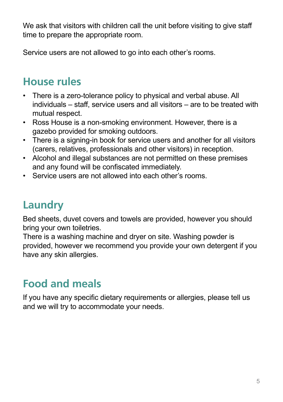We ask that visitors with children call the unit before visiting to give staff time to prepare the appropriate room.

Service users are not allowed to go into each other's rooms.

# **House rules**

- There is a zero-tolerance policy to physical and verbal abuse. All individuals – staff, service users and all visitors – are to be treated with mutual respect.
- Ross House is a non-smoking environment. However, there is a gazebo provided for smoking outdoors.
- There is a signing-in book for service users and another for all visitors (carers, relatives, professionals and other visitors) in reception.
- Alcohol and illegal substances are not permitted on these premises and any found will be confiscated immediately.
- Service users are not allowed into each other's rooms.

# **Laundry**

Bed sheets, duvet covers and towels are provided, however you should bring your own toiletries.

There is a washing machine and dryer on site. Washing powder is provided, however we recommend you provide your own detergent if you have any skin allergies.

# **Food and meals**

If you have any specific dietary requirements or allergies, please tell us and we will try to accommodate your needs.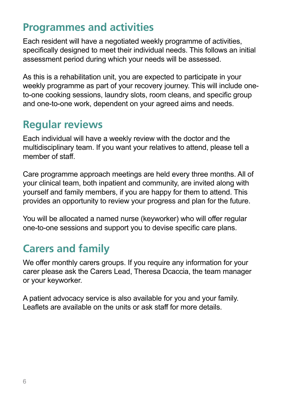#### **Programmes and activities**

Each resident will have a negotiated weekly programme of activities, specifically designed to meet their individual needs. This follows an initial assessment period during which your needs will be assessed.

As this is a rehabilitation unit, you are expected to participate in your weekly programme as part of your recovery journey. This will include oneto-one cooking sessions, laundry slots, room cleans, and specific group and one-to-one work, dependent on your agreed aims and needs.

#### **Regular reviews**

Each individual will have a weekly review with the doctor and the multidisciplinary team. If you want your relatives to attend, please tell a member of staff.

Care programme approach meetings are held every three months. All of your clinical team, both inpatient and community, are invited along with yourself and family members, if you are happy for them to attend. This provides an opportunity to review your progress and plan for the future.

You will be allocated a named nurse (keyworker) who will offer regular one-to-one sessions and support you to devise specific care plans.

## **Carers and family**

We offer monthly carers groups. If you require any information for your carer please ask the Carers Lead, Theresa Dcaccia, the team manager or your keyworker.

A patient advocacy service is also available for you and your family. Leaflets are available on the units or ask staff for more details.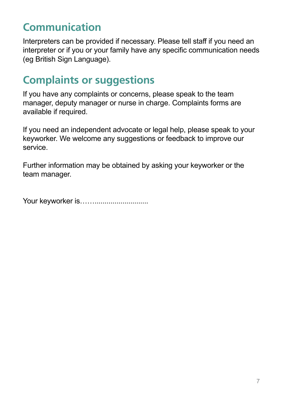## **Communication**

Interpreters can be provided if necessary. Please tell staff if you need an interpreter or if you or your family have any specific communication needs (eg British Sign Language).

#### **Complaints or suggestions**

If you have any complaints or concerns, please speak to the team manager, deputy manager or nurse in charge. Complaints forms are available if required.

If you need an independent advocate or legal help, please speak to your keyworker. We welcome any suggestions or feedback to improve our service.

Further information may be obtained by asking your keyworker or the team manager.

Your keyworker is……...........................